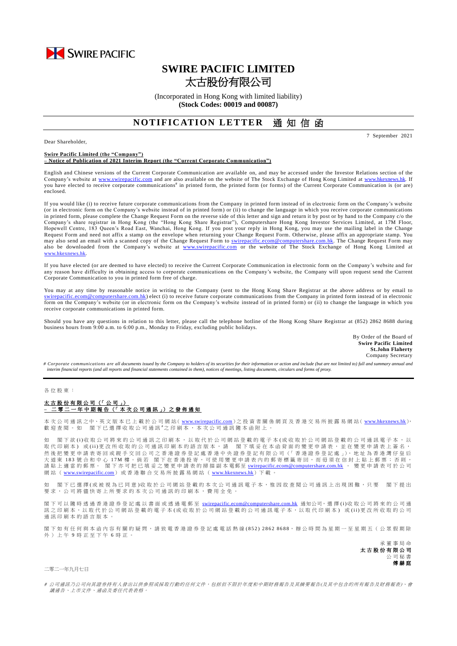

# **SWIRE PACIFIC LIMITED** 太古股份有限公司

(Incorporated in Hong Kong with limited liability) **(Stock Codes: 00019 and 00087)**

## **NOTIFICATION LETTER** 通知信函

Dear Shareholder,

7 September 2021

#### **Swire Pacific Limited (the "Company") – Notice of Publication of 2021 Interim Report (the "Current Corporate Communication")**

English and Chinese versions of the Current Corporate Communication are available on, and may be accessed under the Investor Relations section of the Company's website at [www.swirepacific.com](http://www.swirepacific.com/) and are also available on the website of The Stock Exchange of Hong Kong Limited at [www.hkexnews.hk.](http://www.hkexnews.hk/) If you have elected to receive corporate communications<sup>#</sup> in printed form, the printed form (or forms) of the Current Corporate Communication is (or are) enclosed.

If you would like (i) to receive future corporate communications from the Company in printed form instead of in electronic form on the Company's website (or in electronic form on the Company's website instead of in printed form) or (ii) to change the language in which you receive corporate communications in printed form, please complete the Change Request Form on the reverse side of this letter and sign and return it by post or by hand to the Company c/o the Company's share registrar in Hong Kong (the "Hong Kong Share Registrar"), Computershare Hong Kong Investor Services Limited, at 17M Floor, Hopewell Centre, 183 Queen's Road East, Wanchai, Hong Kong. If you post your reply in Hong Kong, you may use the mailing label in the Change Request Form and need not affix a stamp on the envelope when returning your Change Request Form. Otherwise, please affix an appropriate stamp. You may also send an email with a scanned copy of the Change Request Form to *swirepacific.ecom@computershare.com.hk*. The Change Request Form may also be downloaded from the Company's website at [www.swirepacific.com](http://www.swirepacific.com/) or the website of The Stock Exchange of Hong Kong Limited at [www.hkexnews.hk](http://www.hkexnews.hk/).

If you have elected (or are deemed to have elected) to receive the Current Corporate Communication in electronic form on the Company's website and for any reason have difficulty in obtaining access to corporate communications on the Company's website, the Company will upon request send the Current Corporate Communication to you in printed form free of charge.

You may at any time by reasonable notice in writing to the Company (sent to the Hong Kong Share Registrar at the above address or by email to [swirepacific.ecom@computershare.com.hk\)](mailto:swirepacific.ecom@computershare.com.hk) elect (i) to receive future corporate communications from the Company in printed form instead of in electronic form on the Company's website (or in electronic form on the Company's website instead of in printed form) or (ii) to change the language in which you receive corporate communications in printed form.

Should you have any questions in relation to this letter, please call the telephone hotline of the Hong Kong Share Registrar at (852) 2862 8688 during business hours from 9:00 a.m. to 6:00 p.m., Monday to Friday, excluding public holidays.

> By Order of the Board of **Swire Pacific Limited St.John Flaherty** Company Secretary

*# Corporate communications are all documents issued by the Company to holders of its securities for their information or action and include (but are not limited to) full and summary annual and interim financial reports (and all reports and financial statements contained in them), notices of meetings, listing documents, circulars and forms of proxy.*

#### 各 位 股 東 :

### 太古股份有限公司 (「 公 司 」) **–** 二 零 二 一 年 中期報告 (「 本 次 公 司 通 訊 」) 之 發 佈 通 知

本 次 公 司 通 訊 之中、英 文 版 本 已 上 載 於 公 司 網 站( [www.swirepacific.com](http://www.swirepacific.com/)) 之 投 資 者 關 係 網 頁 及 香 港 交 易 所 披 露 易 網 站( [www.hkexnews.hk](http://www.hkexnews.hk/)), 歡 迎 查 閱 。 如 閣 下 已 選 擇 收 取 公 司 通 訊 \*之 印 刷 本 , 本 次 公 司 通 訊 隨 本 函 附 上 。

如 閣 下 欲 (i)收 取 公 司將 來 的 公 司 诵 訊 之 印 刷 本 , 以 取 代 於 公 司 網 站 登 載 的 雷 子 本 (或 收 取 於 公 司 網 站 登 載 的 公 司 诵 訊 雷 子 本 , 以 取代印刷本)或(ii)更改所收取的公司通訊印刷本的語言版本,請 閣下填妥在本函背面的變更申請表,並在變更申請表上簽名, 然後把變更申請表寄回或親手交回公司之香港證券登記處香港中央證券登記有限公司(「香港證券登記處」),地址為香港灣仔皇后 へは エイス 5 点 183 就合和中心 17M 樓 。倘若 閣下在香港投寄,可使用變更申請表內的郵寄標籤寄回,而毋須在信封上貼上郵票;否則, 。<br>請貼上適當的郵票。 閣下亦可把已填妥之變更申請表的掃描副本電郵至 <u>[swirepacific.ecom@computershare.com.hk](mailto:swirepacific.ecom@computershare.com.hk)</u> 。 變更申請表可於公司 網 站 ( [www.swirepacific.com](http://www.swirepacific.com/)) 或香港 聯 合 交 易 所 披 露 易 網 站 ( [www.hkexnews.hk](http://www.hkexnews.hk/))下 載 。

如 閣下已 選擇(或被視為已同意)收取於公司網站登載的本次公司通訊電子本,惟因故查閱公司通訊上出現困難,只要 閣下提出 要求, 公司將儘快寄上所要求的本次公司通訊的印刷本, 費用全免。

閣下可以 隨時 透 過 香 港 證 券 登 記 處 以 書 面 或 透 過 電 郵 至 [swirepacific.ecom@computershare.com.hk](mailto:swirepacific.ecom@computershare.com.hk) 通知公司, 選 擇 (i)收 取 公 司 將 來 的 公 司 通 訊之 印 刷 本, 以 取 代 於 公 司 網 站 登 載 的 電 子 本 ( 或 收 取 於 公 司 網 站 登 載 的 公 司 通 訊 電 子 本, 以 取 代 印 刷 本) 或 (ii)更 改 所 收 取 的 公 司 通訊印刷本的語言版本。

閣下如有任何與本函內容有關的疑問,請致電香港證券登記處電話熱線(852) 2862 8688,辦公時間為星期一至星期五(公眾假期除 外 ) 上 午 9 時 正 至 下 午 6 時正。



#### 二零二一年九月七日

# 公司通訊乃公司向其證券持有人發出以供參照或採取行動的任何文件,包括但不限於年度和中期財務報告及其摘要報告(及其中包含的所有報告及財務報表)、會 議通告、上市文件、通函及委任代表表格。